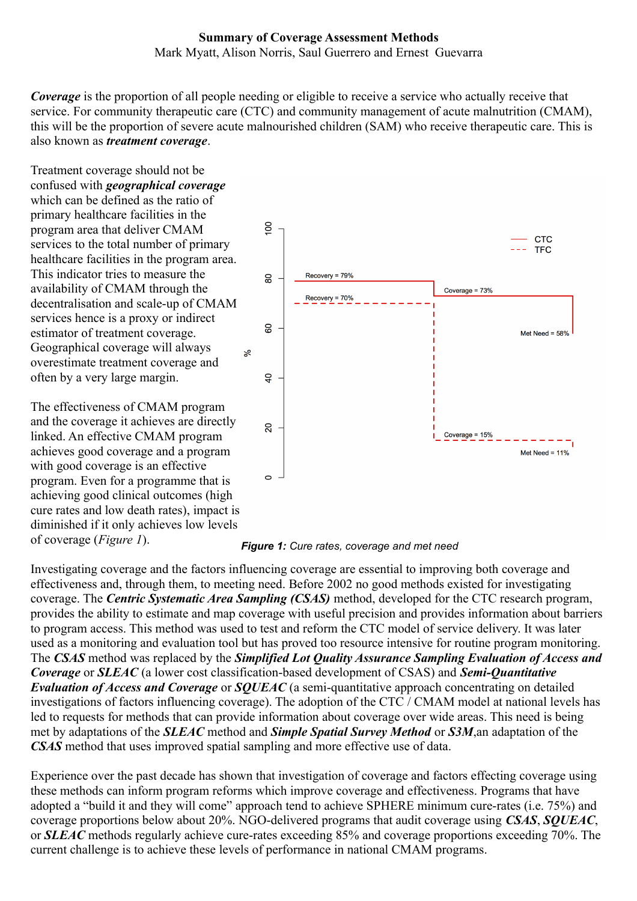*Coverage* is the proportion of all people needing or eligible to receive a service who actually receive that service. For community therapeutic care (CTC) and community management of acute malnutrition (CMAM), this will be the proportion of severe acute malnourished children (SAM) who receive therapeutic care. This is also known as *treatment coverage*.

Treatment coverage should not be confused with *geographical coverage* which can be defined as the ratio of primary healthcare facilities in the program area that deliver CMAM services to the total number of primary healthcare facilities in the program area. This indicator tries to measure the availability of CMAM through the decentralisation and scale-up of CMAM services hence is a proxy or indirect estimator of treatment coverage. Geographical coverage will always overestimate treatment coverage and often by a very large margin.

The effectiveness of CMAM program and the coverage it achieves are directly linked. An effective CMAM program achieves good coverage and a program with good coverage is an effective program. Even for a programme that is achieving good clinical outcomes (high cure rates and low death rates), impact is diminished if it only achieves low levels of coverage (*Figure 1*).



*Figure 1: Cure rates, coverage and met need*

Investigating coverage and the factors influencing coverage are essential to improving both coverage and effectiveness and, through them, to meeting need. Before 2002 no good methods existed for investigating coverage. The *Centric Systematic Area Sampling (CSAS)* method, developed for the CTC research program, provides the ability to estimate and map coverage with useful precision and provides information about barriers to program access. This method was used to test and reform the CTC model of service delivery. It was later used as a monitoring and evaluation tool but has proved too resource intensive for routine program monitoring. The *CSAS* method was replaced by the *Simplified Lot Quality Assurance Sampling Evaluation of Access and Coverage* or *SLEAC* (a lower cost classification-based development of CSAS) and *Semi-Quantitative Evaluation of Access and Coverage* or *SQUEAC* (a semi-quantitative approach concentrating on detailed investigations of factors influencing coverage). The adoption of the CTC / CMAM model at national levels has led to requests for methods that can provide information about coverage over wide areas. This need is being met by adaptations of the *SLEAC* method and *Simple Spatial Survey Method* or *S3M*,an adaptation of the *CSAS* method that uses improved spatial sampling and more effective use of data.

Experience over the past decade has shown that investigation of coverage and factors effecting coverage using these methods can inform program reforms which improve coverage and effectiveness. Programs that have adopted a "build it and they will come" approach tend to achieve SPHERE minimum cure-rates (i.e. 75%) and coverage proportions below about 20%. NGO-delivered programs that audit coverage using *CSAS*, *SQUEAC*, or *SLEAC* methods regularly achieve cure-rates exceeding 85% and coverage proportions exceeding 70%. The current challenge is to achieve these levels of performance in national CMAM programs.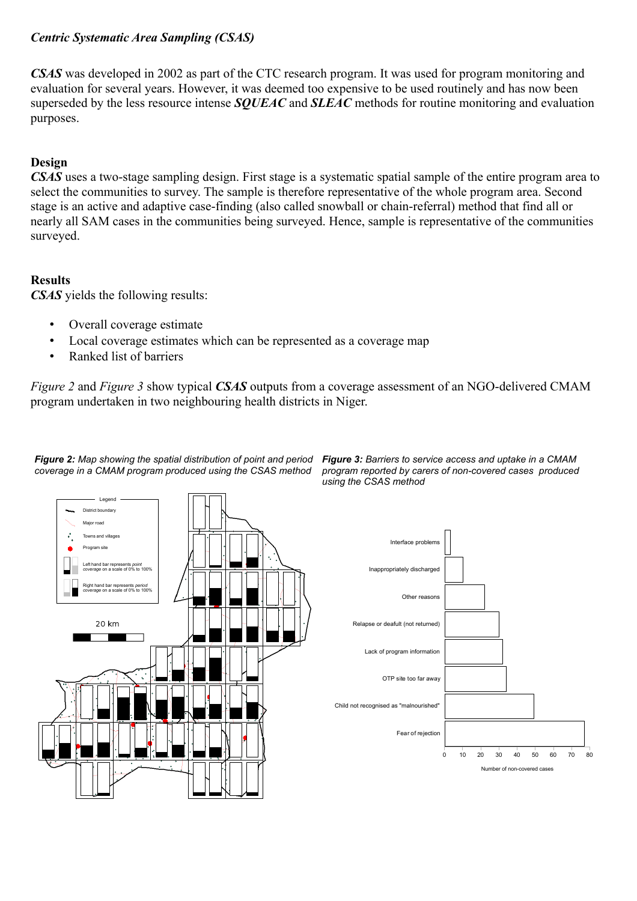### *Centric Systematic Area Sampling (CSAS)*

*CSAS* was developed in 2002 as part of the CTC research program. It was used for program monitoring and evaluation for several years. However, it was deemed too expensive to be used routinely and has now been superseded by the less resource intense *SQUEAC* and *SLEAC* methods for routine monitoring and evaluation purposes.

### **Design**

*CSAS* uses a two-stage sampling design. First stage is a systematic spatial sample of the entire program area to select the communities to survey. The sample is therefore representative of the whole program area. Second stage is an active and adaptive case-finding (also called snowball or chain-referral) method that find all or nearly all SAM cases in the communities being surveyed. Hence, sample is representative of the communities surveyed.

### **Results**

*CSAS* yields the following results:

- Overall coverage estimate
- Local coverage estimates which can be represented as a coverage map
- Ranked list of barriers

*Figure 2* and *Figure 3* show typical *CSAS* outputs from a coverage assessment of an NGO-delivered CMAM program undertaken in two neighbouring health districts in Niger.



*coverage in a CMAM program produced using the CSAS method*



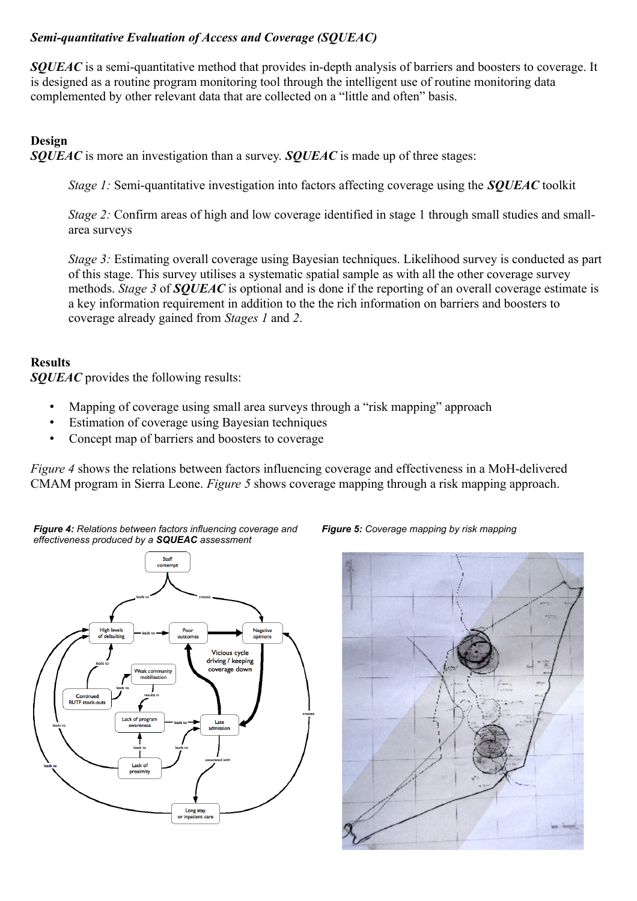# *Semi-quantitative Evaluation of Access and Coverage (SQUEAC)*

*SQUEAC* is a semi-quantitative method that provides in-depth analysis of barriers and boosters to coverage. It is designed as a routine program monitoring tool through the intelligent use of routine monitoring data complemented by other relevant data that are collected on a "little and often" basis.

# **Design**

*SQUEAC* is more an investigation than a survey. *SQUEAC* is made up of three stages:

*Stage 1:* Semi-quantitative investigation into factors affecting coverage using the *SQUEAC* toolkit

*Stage 2:* Confirm areas of high and low coverage identified in stage 1 through small studies and smallarea surveys

*Stage 3:* Estimating overall coverage using Bayesian techniques. Likelihood survey is conducted as part of this stage. This survey utilises a systematic spatial sample as with all the other coverage survey methods. *Stage 3* of *SQUEAC* is optional and is done if the reporting of an overall coverage estimate is a key information requirement in addition to the the rich information on barriers and boosters to coverage already gained from *Stages 1* and *2*.

# **Results**

*SQUEAC* provides the following results:

- Mapping of coverage using small area surveys through a "risk mapping" approach
- Estimation of coverage using Bayesian techniques
- Concept map of barriers and boosters to coverage

*Figure 4* shows the relations between factors influencing coverage and effectiveness in a MoH-delivered CMAM program in Sierra Leone. *Figure 5* shows coverage mapping through a risk mapping approach.





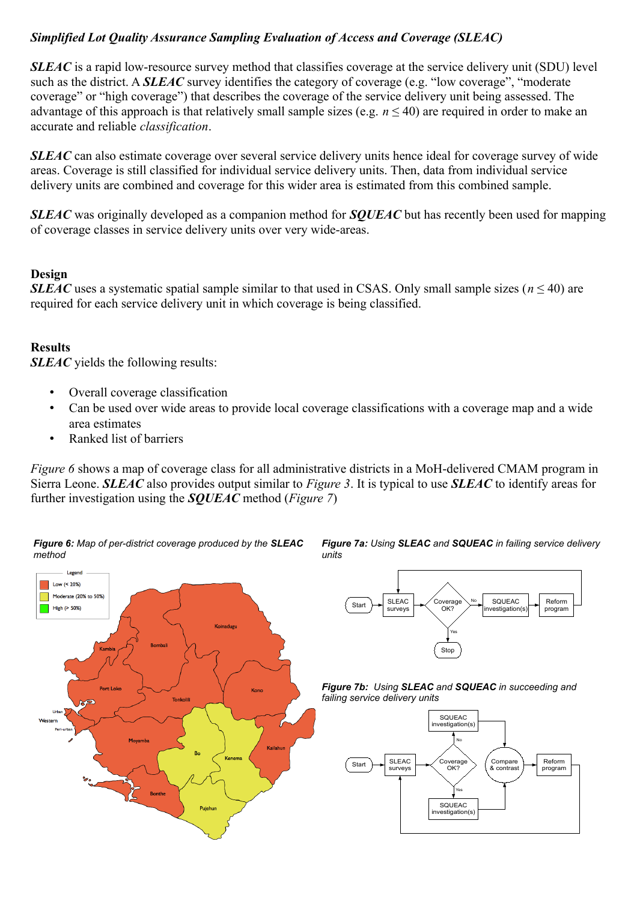## *Simplified Lot Quality Assurance Sampling Evaluation of Access and Coverage (SLEAC)*

*SLEAC* is a rapid low-resource survey method that classifies coverage at the service delivery unit (SDU) level such as the district. A *SLEAC* survey identifies the category of coverage (e.g. "low coverage", "moderate coverage" or "high coverage") that describes the coverage of the service delivery unit being assessed. The advantage of this approach is that relatively small sample sizes (e.g.  $n \leq 40$ ) are required in order to make an accurate and reliable *classification*.

*SLEAC* can also estimate coverage over several service delivery units hence ideal for coverage survey of wide areas. Coverage is still classified for individual service delivery units. Then, data from individual service delivery units are combined and coverage for this wider area is estimated from this combined sample.

*SLEAC* was originally developed as a companion method for *SQUEAC* but has recently been used for mapping of coverage classes in service delivery units over very wide-areas.

#### **Design**

*SLEAC* uses a systematic spatial sample similar to that used in CSAS. Only small sample sizes (*n* < 40) are required for each service delivery unit in which coverage is being classified.

#### **Results**

*SLEAC* yields the following results:

- Overall coverage classification
- Can be used over wide areas to provide local coverage classifications with a coverage map and a wide area estimates
- Ranked list of barriers

*Figure 6* shows a map of coverage class for all administrative districts in a MoH-delivered CMAM program in Sierra Leone. *SLEAC* also provides output similar to *Figure 3*. It is typical to use *SLEAC* to identify areas for further investigation using the *SQUEAC* method (*Figure 7*)



*Figure 6: Map of per-district coverage produced by the SLEAC method*

*Figure 7a: Using SLEAC and SQUEAC in failing service delivery units*



*Figure 7b: Using SLEAC and SQUEAC in succeeding and failing service delivery units*